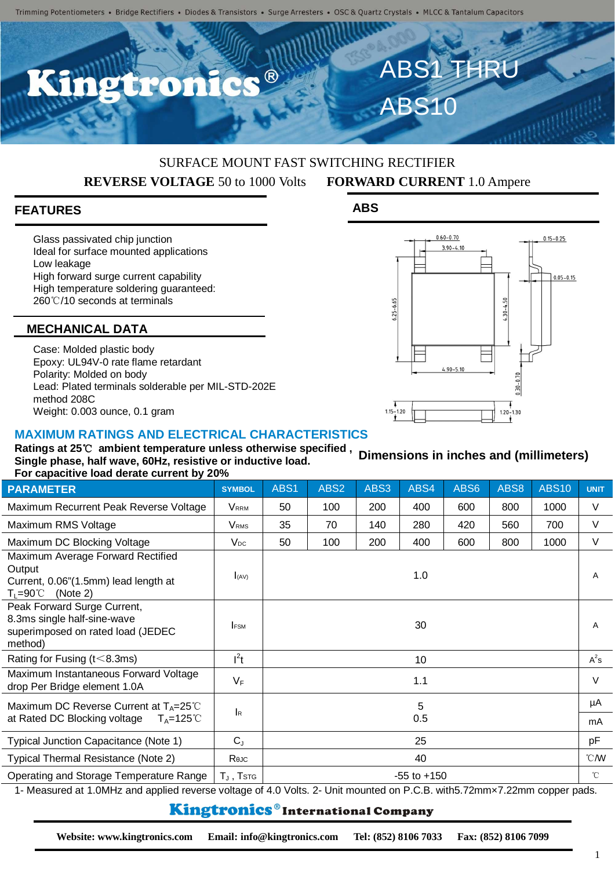

# SURFACE MOUNT FAST SWITCHING RECTIFIER **REVERSE VOLTAGE** 50 to 1000 Volts **FORWARD CURRENT** 1.0 Ampere

## **FEATURES**

Glass passivated chip junction Ideal for surface mounted applications Low leakage High forward surge current capability High temperature soldering guaranteed: 260℃/10 seconds at terminals

### **MECHANICAL DATA**

Case: Molded plastic body Epoxy: UL94V-0 rate flame retardant Polarity: Molded on body Lead: Plated terminals solderable per MIL-STD-202E method 208C Weight: 0.003 ounce, 0.1 gram





## **MAXIMUM RATINGS AND ELECTRICAL CHARACTERISTICS**

#### **Ratings at 25**℃ **ambient temperature unless otherwise specified , Dimensions in inches and (millimeters)Single phase, half wave, 60Hz, resistive or inductive load. For capacitive load derate current by 20%**

| <b>PARAMETER</b>                                                                                                                                        | <b>SYMBOL</b>                                            | ABS1                                                                                                                             | ABS2 | ABS3 | ABS4 | ABS6 | ABS8 | <b>ABS10</b> | <b>UNIT</b>                  |
|---------------------------------------------------------------------------------------------------------------------------------------------------------|----------------------------------------------------------|----------------------------------------------------------------------------------------------------------------------------------|------|------|------|------|------|--------------|------------------------------|
| Maximum Recurrent Peak Reverse Voltage                                                                                                                  | <b>V</b> <sub>RRM</sub>                                  | 50                                                                                                                               | 100  | 200  | 400  | 600  | 800  | 1000         | V                            |
| Maximum RMS Voltage                                                                                                                                     | V <sub>RMS</sub>                                         | 35                                                                                                                               | 70   | 140  | 280  | 420  | 560  | 700          | V                            |
| Maximum DC Blocking Voltage                                                                                                                             | $V_{DC}$                                                 | 50                                                                                                                               | 100  | 200  | 400  | 600  | 800  | 1000         | V                            |
| Maximum Average Forward Rectified<br>Output<br>Current, 0.06"(1.5mm) lead length at<br>$T_{L} = 90^{\circ}$<br>(Note 2)                                 | I(AV)                                                    |                                                                                                                                  |      |      | 1.0  |      |      |              | A                            |
| Peak Forward Surge Current,<br>8.3ms single half-sine-wave<br>superimposed on rated load (JEDEC<br>method)                                              | <b>FSM</b>                                               | 30                                                                                                                               |      |      |      |      |      |              | A                            |
| Rating for Fusing ( $t$ < 8.3ms)                                                                                                                        | $l^2t$                                                   | 10                                                                                                                               |      |      |      |      |      |              | $A^2s$                       |
| Maximum Instantaneous Forward Voltage<br>drop Per Bridge element 1.0A                                                                                   | $V_F$                                                    | 1.1                                                                                                                              |      |      |      |      |      |              | $\vee$                       |
| Maximum DC Reverse Current at $T_A = 25^{\circ}$ C<br>at Rated DC Blocking voltage<br>$T_A = 125^{\circ}$ C                                             | 5<br><b>I</b> R<br>0.5                                   |                                                                                                                                  |      |      |      |      |      | μA           |                              |
|                                                                                                                                                         |                                                          |                                                                                                                                  |      |      |      |      |      |              | mA                           |
| Typical Junction Capacitance (Note 1)                                                                                                                   | $C_{J}$                                                  |                                                                                                                                  |      |      | 25   |      |      |              | pF                           |
| Typical Thermal Resistance (Note 2)                                                                                                                     | Rejc                                                     | 40                                                                                                                               |      |      |      |      |      |              | $^{\circ}$ CMV               |
| Operating and Storage Temperature Range<br>$\overline{a}$ and $\overline{a}$ . The set of $\overline{a}$ and $\overline{a}$ . The set of $\overline{a}$ | $\mathsf{T}_\mathsf{J}$ , $\mathsf{T}$ sт <code>G</code> | $-55$ to $+150$<br>$\mathbf{r}$ and $\mathbf{r}$ and $\mathbf{r}$<br>$\cdots$ $\sim$ $\sim$<br>$\overline{\phantom{a}}$<br>- - - |      |      |      |      |      |              | $^{\circ}$ C<br>$\mathbf{r}$ |

1- Measured at 1.0MHz and applied reverse voltage of 4.0 Volts. 2- Unit mounted on P.C.B. with5.72mm×7.22mm copper pads.

# Kingtronics®International Company

**Website: www.kingtronics.com Email: info@kingtronics.com Tel: (852) 8106 7033 Fax: (852) 8106 7099**

1